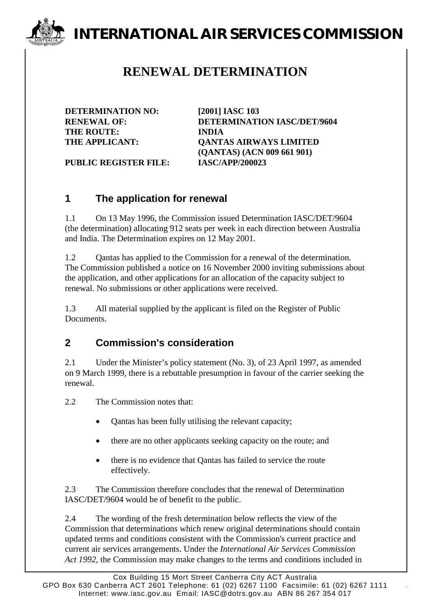# **INTERNATIONAL AIR SERVICES COMMISSION**

## **RENEWAL DETERMINATION**

**DETERMINATION NO: [2001] IASC 103 THE ROUTE: INDIA**

**RENEWAL OF: DETERMINATION IASC/DET/9604 THE APPLICANT: QANTAS AIRWAYS LIMITED (QANTAS) (ACN 009 661 901)**

**PUBLIC REGISTER FILE: IASC/APP/200023**

#### **1 The application for renewal**

1.1 On 13 May 1996, the Commission issued Determination IASC/DET/9604 (the determination) allocating 912 seats per week in each direction between Australia and India. The Determination expires on 12 May 2001.

1.2 Qantas has applied to the Commission for a renewal of the determination. The Commission published a notice on 16 November 2000 inviting submissions about the application, and other applications for an allocation of the capacity subject to renewal. No submissions or other applications were received.

1.3 All material supplied by the applicant is filed on the Register of Public Documents.

#### **2 Commission's consideration**

2.1 Under the Minister's policy statement (No. 3), of 23 April 1997, as amended on 9 March 1999, there is a rebuttable presumption in favour of the carrier seeking the renewal.

2.2 The Commission notes that:

- Qantas has been fully utilising the relevant capacity;
- there are no other applicants seeking capacity on the route; and
- there is no evidence that Qantas has failed to service the route effectively.

2.3 The Commission therefore concludes that the renewal of Determination IASC/DET/9604 would be of benefit to the public.

2.4 The wording of the fresh determination below reflects the view of the Commission that determinations which renew original determinations should contain updated terms and conditions consistent with the Commission's current practice and current air services arrangements. Under the *International Air Services Commission Act 1992*, the Commission may make changes to the terms and conditions included in